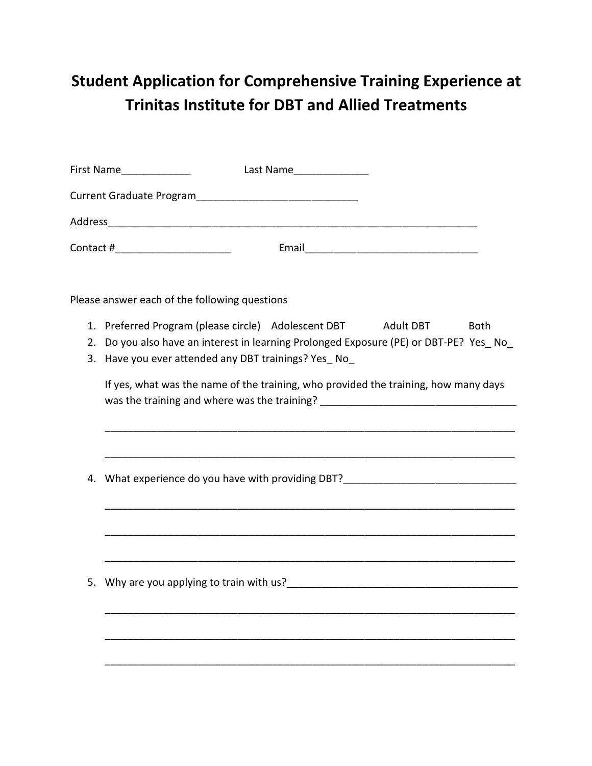## **Student Application for Comprehensive Training Experience at Trinitas Institute for DBT and Allied Treatments**

|    | First Name______________<br>Last Name_________________                                                                                                                                                                                                                                           |
|----|--------------------------------------------------------------------------------------------------------------------------------------------------------------------------------------------------------------------------------------------------------------------------------------------------|
|    |                                                                                                                                                                                                                                                                                                  |
|    |                                                                                                                                                                                                                                                                                                  |
|    | Contact #__________________________                                                                                                                                                                                                                                                              |
|    | Please answer each of the following questions                                                                                                                                                                                                                                                    |
|    | 1. Preferred Program (please circle) Adolescent DBT Adult DBT<br><b>Both</b>                                                                                                                                                                                                                     |
| 2. | Do you also have an interest in learning Prolonged Exposure (PE) or DBT-PE? Yes No                                                                                                                                                                                                               |
|    | 3. Have you ever attended any DBT trainings? Yes_No_                                                                                                                                                                                                                                             |
|    | If yes, what was the name of the training, who provided the training, how many days<br>was the training and where was the training? ___________________________________<br><u> 1989 - Johann Stoff, deutscher Stoff, der Stoff, der Stoff, der Stoff, der Stoff, der Stoff, der Stoff, der S</u> |
| 4. | <u> 1989 - Johann John Harry Harry Harry Harry Harry Harry Harry Harry Harry Harry Harry Harry Harry Harry Harry</u>                                                                                                                                                                             |
|    |                                                                                                                                                                                                                                                                                                  |
|    |                                                                                                                                                                                                                                                                                                  |
|    |                                                                                                                                                                                                                                                                                                  |
|    |                                                                                                                                                                                                                                                                                                  |